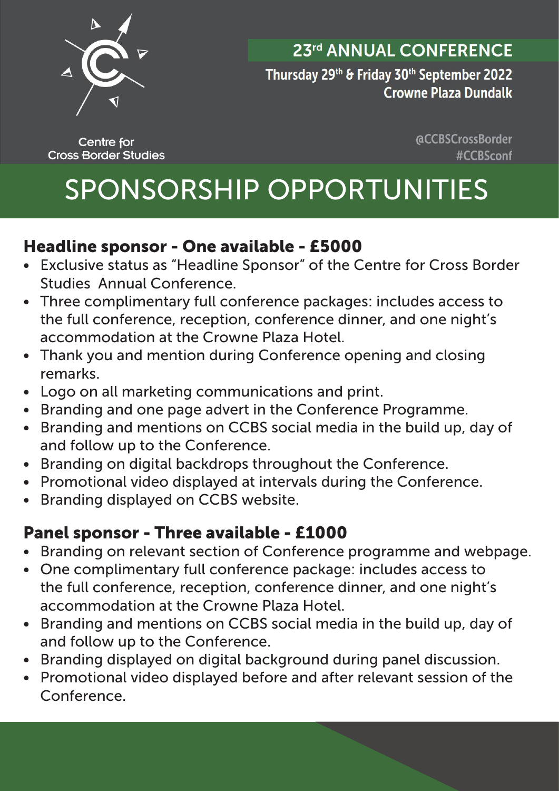

## 23rd ANNUAL CONFERENCE

Thursday 29th & Friday 30th September 2022 **Crowne Plaza Dundalk** 

**Centre for Cross Border Studies**  **@CCBSCrossBorder** #CCBSconf

# SPONSORSHIP OPPORTUNITIES

### Headline sponsor - One available - £5000

- Exclusive status as "Headline Sponsor" of the Centre for Cross Border Studies Annual Conference.
- Three complimentary full conference packages: includes access to the full conference, reception, conference dinner, and one night's accommodation at the Crowne Plaza Hotel.
- Thank you and mention during Conference opening and closing remarks.
- Logo on all marketing communications and print.
- Branding and one page advert in the Conference Programme.
- Branding and mentions on CCBS social media in the build up, day of and follow up to the Conference.
- Branding on digital backdrops throughout the Conference.
- Promotional video displayed at intervals during the Conference.
- Branding displayed on CCBS website.

# Panel sponsor - Three available - £1000

- Branding on relevant section of Conference programme and webpage.
- One complimentary full conference package: includes access to the full conference, reception, conference dinner, and one night's accommodation at the Crowne Plaza Hotel.
- Branding and mentions on CCBS social media in the build up, day of and follow up to the Conference.
- Branding displayed on digital background during panel discussion.
- Promotional video displayed before and after relevant session of the Conference.